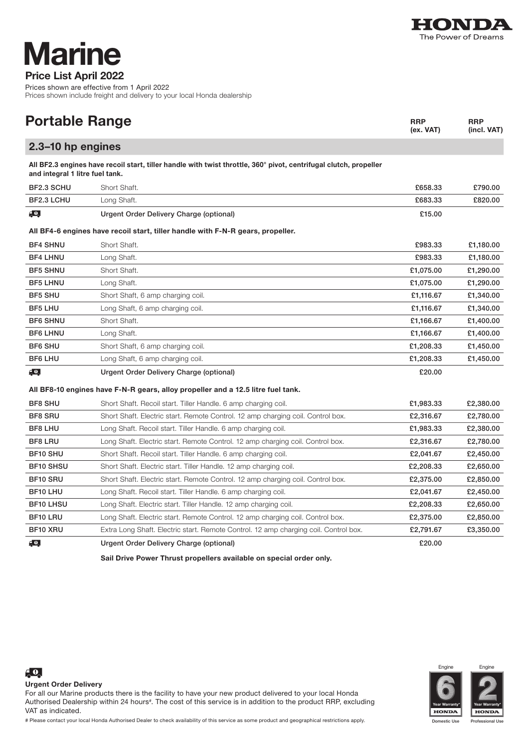

## Price List April 2022 **Marine**

Prices shown are effective from 1 April 2022 Prices shown include freight and delivery to your local Honda dealership

| <b>Portable Range</b>                                                                                                                                |                                                                                      | <b>RRP</b><br>(ex. VAT) | <b>RRP</b><br>(incl. VAT) |  |  |
|------------------------------------------------------------------------------------------------------------------------------------------------------|--------------------------------------------------------------------------------------|-------------------------|---------------------------|--|--|
| 2.3-10 hp engines                                                                                                                                    |                                                                                      |                         |                           |  |  |
| All BF2.3 engines have recoil start, tiller handle with twist throttle, 360° pivot, centrifugal clutch, propeller<br>and integral 1 litre fuel tank. |                                                                                      |                         |                           |  |  |
| BF2.3 SCHU                                                                                                                                           | Short Shaft.                                                                         | £658.33                 | £790.00                   |  |  |
| BF2.3 LCHU                                                                                                                                           | Long Shaft.                                                                          | £683.33                 | £820.00                   |  |  |
| $\epsilon$ 0,                                                                                                                                        | Urgent Order Delivery Charge (optional)                                              | £15.00                  |                           |  |  |
|                                                                                                                                                      | All BF4-6 engines have recoil start, tiller handle with F-N-R gears, propeller.      |                         |                           |  |  |
| <b>BF4 SHNU</b>                                                                                                                                      | Short Shaft.                                                                         | £983.33                 | £1,180.00                 |  |  |
| <b>BF4 LHNU</b>                                                                                                                                      | Long Shaft.                                                                          | £983.33                 | £1,180.00                 |  |  |
| <b>BF5 SHNU</b>                                                                                                                                      | Short Shaft.                                                                         | £1,075.00               | £1,290.00                 |  |  |
| <b>BF5 LHNU</b>                                                                                                                                      | Long Shaft.                                                                          | £1,075.00               | £1,290.00                 |  |  |
| <b>BF5 SHU</b>                                                                                                                                       | Short Shaft, 6 amp charging coil.                                                    | £1,116.67               | £1,340.00                 |  |  |
| <b>BF5 LHU</b>                                                                                                                                       | Long Shaft, 6 amp charging coil.                                                     | £1,116.67               | £1,340.00                 |  |  |
| <b>BF6 SHNU</b>                                                                                                                                      | Short Shaft.                                                                         | £1,166.67               | £1,400.00                 |  |  |
| <b>BF6 LHNU</b>                                                                                                                                      | Long Shaft.                                                                          | £1,166.67               | £1,400.00                 |  |  |
| <b>BF6 SHU</b>                                                                                                                                       | Short Shaft, 6 amp charging coil.                                                    | £1,208.33               | £1,450.00                 |  |  |
| <b>BF6 LHU</b>                                                                                                                                       | Long Shaft, 6 amp charging coil.                                                     | £1,208.33               | £1,450.00                 |  |  |
| $\epsilon$ $\Omega$                                                                                                                                  | Urgent Order Delivery Charge (optional)                                              | £20.00                  |                           |  |  |
|                                                                                                                                                      | All BF8-10 engines have F-N-R gears, alloy propeller and a 12.5 litre fuel tank.     |                         |                           |  |  |
| <b>BF8 SHU</b>                                                                                                                                       | Short Shaft. Recoil start. Tiller Handle. 6 amp charging coil.                       | £1,983.33               | £2,380.00                 |  |  |
| <b>BF8 SRU</b>                                                                                                                                       | Short Shaft. Electric start. Remote Control. 12 amp charging coil. Control box.      | £2,316.67               | £2,780.00                 |  |  |
| <b>BF8 LHU</b>                                                                                                                                       | Long Shaft. Recoil start. Tiller Handle. 6 amp charging coil.                        | £1,983.33               | £2,380.00                 |  |  |
| <b>BF8 LRU</b>                                                                                                                                       | Long Shaft. Electric start. Remote Control. 12 amp charging coil. Control box.       | £2,316.67               | £2,780.00                 |  |  |
| <b>BF10 SHU</b>                                                                                                                                      | Short Shaft. Recoil start. Tiller Handle. 6 amp charging coil.                       | £2,041.67               | £2,450.00                 |  |  |
| <b>BF10 SHSU</b>                                                                                                                                     | Short Shaft. Electric start. Tiller Handle. 12 amp charging coil.                    | £2,208.33               | £2,650.00                 |  |  |
| <b>BF10 SRU</b>                                                                                                                                      | Short Shaft. Electric start. Remote Control. 12 amp charging coil. Control box.      | £2,375,00               | £2,850,00                 |  |  |
| BF10 LHU                                                                                                                                             | Long Shaft. Recoil start. Tiller Handle. 6 amp charging coil.                        | £2,041.67               | £2,450.00                 |  |  |
| <b>BF10 LHSU</b>                                                                                                                                     | Long Shaft. Electric start. Tiller Handle. 12 amp charging coil.                     | £2,208.33               | £2,650.00                 |  |  |
| <b>BF10 LRU</b>                                                                                                                                      | Long Shaft. Electric start. Remote Control. 12 amp charging coil. Control box.       | £2,375.00               | £2,850.00                 |  |  |
| BF10 XRU                                                                                                                                             | Extra Long Shaft. Electric start. Remote Control. 12 amp charging coil. Control box. | £2,791.67               | £3,350.00                 |  |  |
| $\epsilon$ 0,                                                                                                                                        | Urgent Order Delivery Charge (optional)                                              | £20.00                  |                           |  |  |
|                                                                                                                                                      |                                                                                      |                         |                           |  |  |

Sail Drive Power Thrust propellers available on special order only.



**HONDA** 





 $\sqrt{2}$ 

For all our Marine products there is the facility to have your new product delivered to your local Honda Authorised Dealership within 24 hours<sup>#</sup>. The cost of this service is in addition to the product RRP, excluding VAT as indicated.

# Please contact your local Honda Authorised Dealer to check availability of this service as some product and geographical restrictions apply.

Professional Use  $|$ **HONDA**